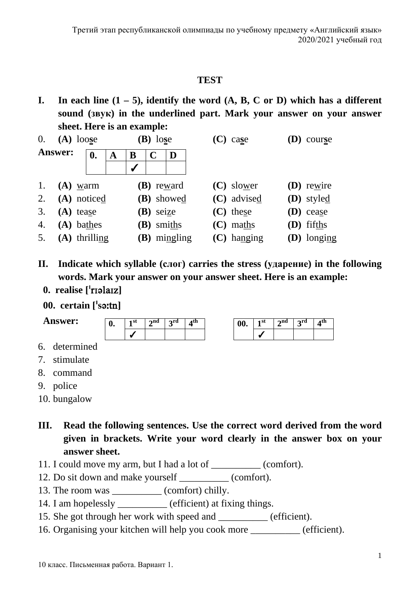## **TEST**

**I.** In each line  $(1 - 5)$ , identify the word  $(A, B, C \text{ or } D)$  which has a different **sound (звук) in the underlined part. Mark your answer on your answer sheet. Here is an example:**

| $\overline{0}$ . | $(A)$ loose |                 |   | $(B)$ lose |             |                | $(C)$ case    | <b>(D)</b> course |
|------------------|-------------|-----------------|---|------------|-------------|----------------|---------------|-------------------|
| <b>Answer:</b>   |             | 0.              | A | B          | $\mathbf C$ | D              |               |                   |
|                  |             |                 |   | √          |             |                |               |                   |
| 1.               |             | $(A)$ warm      |   |            |             | (B) reward     | (C) slower    | (D) rewire        |
| 2.               |             | (A) noticed     |   |            |             | (B) showed     | (C) advised   | $(D)$ styled      |
| 3.               |             | $(A)$ tease     |   |            | (B) seize   |                | (C) these     | $(D)$ cease       |
| $\overline{4}$ . |             | $(A)$ bathes    |   |            | (B) smiths  |                | $(C)$ maths   | $(D)$ fifths      |
| 5.               |             | $(A)$ thrilling |   |            |             | $(B)$ mingling | $(C)$ hanging | (D) longing       |

- **II. Indicate which syllable (слог) carries the stress (ударение) in the following words. Mark your answer on your answer sheet. Here is an example:**
	- **0. realise []**
	- **00. certain [s]**



- 7. stimulate
- 8. command
- 9. police
- 10. bungalow
- **III. Read the following sentences. Use the correct word derived from the word given in brackets. Write your word clearly in the answer box on your answer sheet.**
- 11. I could move my arm, but I had a lot of \_\_\_\_\_\_\_\_\_ (comfort).
- 12. Do sit down and make yourself (comfort).
- 13. The room was (comfort) chilly.
- 14. I am hopelessly efficient) at fixing things.
- 15. She got through her work with speed and (efficient).
- 16. Organising your kitchen will help you cook more (efficient).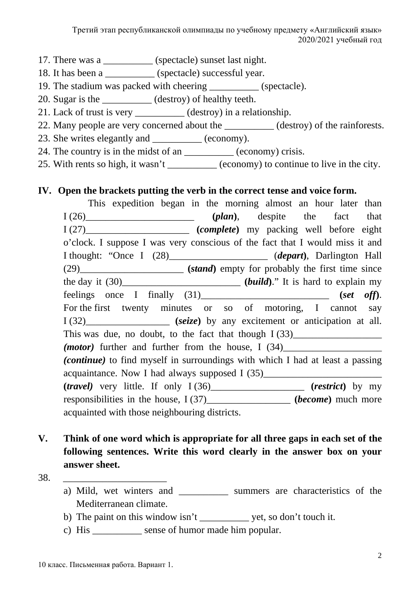- 17. There was a \_\_\_\_\_\_\_\_\_\_ (spectacle) sunset last night.
- 18. It has been a \_\_\_\_\_\_\_\_\_\_ (spectacle) successful year.
- 19. The stadium was packed with cheering \_\_\_\_\_\_\_\_\_\_ (spectacle).
- 20. Sugar is the \_\_\_\_\_\_\_\_\_\_ (destroy) of healthy teeth.
- 21. Lack of trust is very \_\_\_\_\_\_\_\_\_\_ (destroy) in a relationship.
- 22. Many people are very concerned about the \_\_\_\_\_\_\_\_\_\_ (destroy) of the rainforests.
- 23. She writes elegantly and \_\_\_\_\_\_\_\_\_\_ (economy).
- 24. The country is in the midst of an \_\_\_\_\_\_\_\_\_\_\_ (economy) crisis.
- 25. With rents so high, it wasn't \_\_\_\_\_\_\_\_\_\_ (economy) to continue to live in the city.

## **IV. Open the brackets putting the verb in the correct tense and voice form.**

- This expedition began in the morning almost an hour later than I (26)\_\_\_\_\_\_\_\_\_\_\_\_\_\_\_\_\_\_\_\_\_\_ **(***plan***)**, despite the fact that I (27)\_\_\_\_\_\_\_\_\_\_\_\_\_\_\_\_\_\_\_\_\_ **(***complete***)** my packing well before eight o'clock. I suppose I was very conscious of the fact that I would miss it and I thought: "Once I (28)\_\_\_\_\_\_\_\_\_\_\_\_\_\_\_\_\_\_\_\_ (*depart***)**, Darlington Hall (29)\_\_\_\_\_\_\_\_\_\_\_\_\_\_\_\_\_\_\_\_\_ **(***stand***)** empty for probably the first time since the day it  $(30)$ \_\_\_\_\_\_\_\_\_\_\_\_\_\_\_\_\_\_\_\_\_\_\_\_\_\_\_\_\_\_ (*build*)." It is hard to explain my feelings once I finally (31)\_\_\_\_\_\_\_\_\_\_\_\_\_\_\_\_\_\_\_\_\_\_\_\_\_\_ **(***set off***)**. For the first twenty minutes or so of motoring, I cannot say I (32)\_\_\_\_\_\_\_\_\_\_\_\_\_\_\_\_\_ **(***seize***)** by any excitement or anticipation at all. This was due, no doubt, to the fact that though  $I(33)$ *(motor)* further and further from the house, I  $(34)$ *(continue)* to find myself in surroundings with which I had at least a passing acquaintance. Now I had always supposed I (35)\_\_\_\_\_\_\_\_\_\_\_\_\_\_\_\_\_\_\_\_\_\_\_\_\_\_\_\_\_\_\_\_\_\_\_ **(***travel)* very little. If only I (36)\_\_\_\_\_\_\_\_\_\_\_\_\_\_\_\_\_\_\_ **(***restrict***)** by my responsibilities in the house, I (37)\_\_\_\_\_\_\_\_\_\_\_\_\_\_\_\_\_ **(***become***)** much more acquainted with those neighbouring districts.
- **V. Think of one word which is appropriate for all three gaps in each set of the following sentences. Write this word clearly in the answer box on your answer sheet.**
- 38. \_\_\_\_\_\_\_\_\_\_\_\_\_\_\_\_\_\_\_\_\_
	- a) Mild, wet winters and summers are characteristics of the Mediterranean climate.
	- b) The paint on this window isn't vet, so don't touch it.
	- c) His \_\_\_\_\_\_\_\_\_\_ sense of humor made him popular.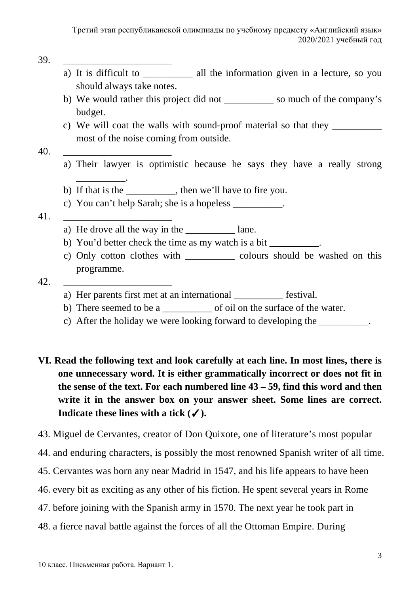39. <u>\_\_\_\_\_\_\_\_\_\_\_\_\_\_\_\_\_\_\_\_\_\_</u>

- a) It is difficult to \_\_\_\_\_\_\_\_\_\_\_\_ all the information given in a lecture, so you should always take notes.
- b) We would rather this project did not \_\_\_\_\_\_\_\_\_\_ so much of the company's budget.
- c) We will coat the walls with sound-proof material so that they \_\_\_\_\_\_\_\_\_\_\_\_\_\_\_ most of the noise coming from outside.

### 40. <u>\_\_\_\_\_\_\_\_\_\_\_\_\_\_\_\_\_\_\_\_\_\_\_\_\_\_</u>

\_\_\_\_\_\_\_\_\_\_.

- a) Their lawyer is optimistic because he says they have a really strong
- b) If that is the \_\_\_\_\_\_\_\_\_\_, then we'll have to fire you.
- c) You can't help Sarah; she is a hopeless \_\_\_\_\_\_\_\_\_\_.

### 41. \_\_\_\_\_\_\_\_\_\_\_\_\_\_\_\_\_\_\_\_\_\_

- a) He drove all the way in the  $\qquad$  lane.
- b) You'd better check the time as my watch is a bit
- c) Only cotton clothes with \_\_\_\_\_\_\_\_\_\_ colours should be washed on this programme.

### 42. \_\_\_\_\_\_\_\_\_\_\_\_\_\_\_\_\_\_\_\_\_\_

- a) Her parents first met at an international \_\_\_\_\_\_\_\_\_\_ festival.
- b) There seemed to be a second of oil on the surface of the water.
- c) After the holiday we were looking forward to developing the
- **VI. Read the following text and look carefully at each line. In most lines, there is one unnecessary word. It is either grammatically incorrect or does not fit in the sense of the text. For each numbered line 43 – 59, find this word and then write it in the answer box on your answer sheet. Some lines are correct. Indicate these lines with a tick**  $(\checkmark)$ **.**
- 43. Miguel de Cervantes, creator of Don Quixote, one of literature's most popular
- 44. and enduring characters, is possibly the most renowned Spanish writer of all time.
- 45. Cervantes was born any near Madrid in 1547, and his life appears to have been
- 46. every bit as exciting as any other of his fiction. He spent several years in Rome
- 47. before joining with the Spanish army in 1570. The next year he took part in
- 48. a fierce naval battle against the forces of all the Ottoman Empire. During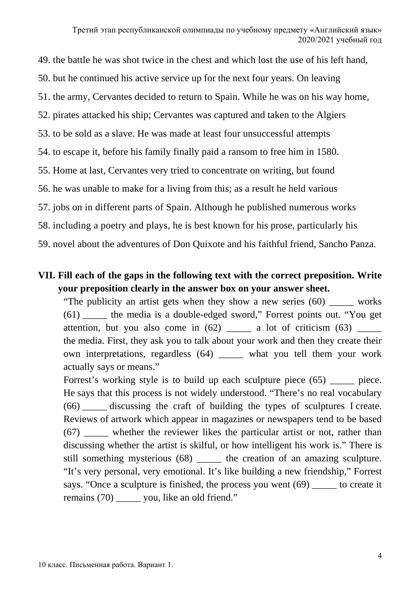49. the battle he was shot twice in the chest and which lost the use of his left hand, 50. but he continued his active service up for the next four years. On leaving 51. the army, Cervantes decided to return to Spain. While he was on his way home, 52. pirates attacked his ship; Cervantes was captured and taken to the Algiers 53. to be sold as a slave. He was made at least four unsuccessful attempts 54. to escape it, before his family finally paid a ransom to free him in 1580. 55. Home at last, Cervantes very tried to concentrate on writing, but found 56. he was unable to make for a living from this; as a result he held various 57. jobs on in different parts of Spain. Although he published numerous works 58. including a poetry and plays, he is best known for his prose, particularly his 59. novel about the adventures of Don Quixote and his faithful friend, Sancho Panza.

## **VII. Fill each of the gaps in the following text with the correct preposition. Write your preposition clearly in the answer box on your answer sheet.**

"The publicity an artist gets when they show a new series (60) \_\_\_\_\_ works (61) \_\_\_\_\_ the media is a double-edged sword," Forrest points out. "You get attention, but you also come in  $(62)$  \_\_\_\_\_ a lot of criticism  $(63)$  \_\_\_\_\_ the media. First, they ask you to talk about your work and then they create their own interpretations, regardless (64) \_\_\_\_\_ what you tell them your work actually says or means."

Forrest's working style is to build up each sculpture piece (65) piece. He says that this process is not widely understood. "There's no real vocabulary (66) \_\_\_\_\_ discussing the craft of building the types of sculptures I create. Reviews of artwork which appear in magazines or newspapers tend to be based (67) \_\_\_\_\_ whether the reviewer likes the particular artist or not, rather than discussing whether the artist is skilful, or how intelligent his work is." There is still something mysterious (68) the creation of an amazing sculpture. "It's very personal, very emotional. It's like building a new friendship," Forrest says. "Once a sculpture is finished, the process you went (69) \_\_\_\_\_ to create it remains (70) \_\_\_\_\_\_ you, like an old friend."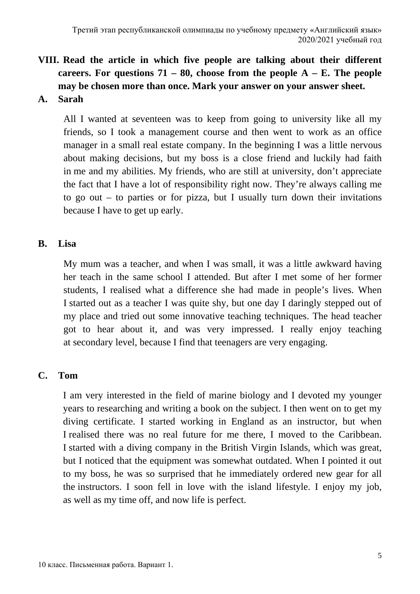# **VIII. Read the article in which five people are talking about their different careers. For questions 71 – 80, choose from the people A – E. The people may be chosen more than once. Mark your answer on your answer sheet.**

**A. Sarah**

All I wanted at seventeen was to keep from going to university like all my friends, so I took a management course and then went to work as an office manager in a small real estate company. In the beginning I was a little nervous about making decisions, but my boss is a close friend and luckily had faith in me and my abilities. My friends, who are still at university, don't appreciate the fact that I have a lot of responsibility right now. They're always calling me to go out – to parties or for pizza, but I usually turn down their invitations because I have to get up early.

### **B. Lisa**

My mum was a teacher, and when I was small, it was a little awkward having her teach in the same school I attended. But after I met some of her former students, I realised what a difference she had made in people's lives. When I started out as a teacher I was quite shy, but one day I daringly stepped out of my place and tried out some innovative teaching techniques. The head teacher got to hear about it, and was very impressed. I really enjoy teaching at secondary level, because I find that teenagers are very engaging.

## **C. Tom**

I am very interested in the field of marine biology and I devoted my younger years to researching and writing a book on the subject. I then went on to get my diving certificate. I started working in England as an instructor, but when I realised there was no real future for me there, I moved to the Caribbean. I started with a diving company in the British Virgin Islands, which was great, but I noticed that the equipment was somewhat outdated. When I pointed it out to my boss, he was so surprised that he immediately ordered new gear for all the instructors. I soon fell in love with the island lifestyle. I enjoy my job, as well as my time off, and now life is perfect.